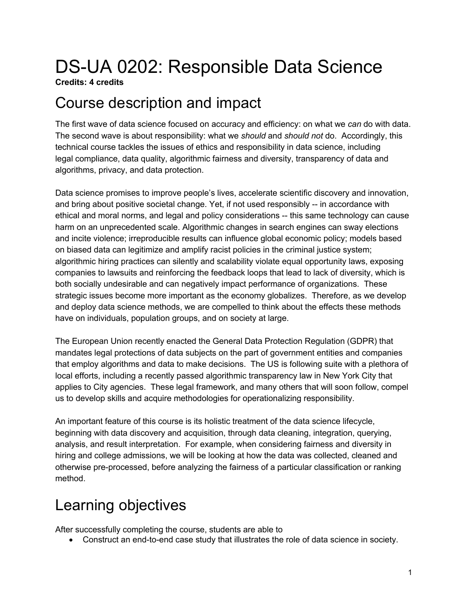# DS-UA 0202: Responsible Data Science

**Credits: 4 credits**

### Course description and impact

The first wave of data science focused on accuracy and efficiency: on what we *can* do with data. The second wave is about responsibility: what we *should* and *should not* do. Accordingly, this technical course tackles the issues of ethics and responsibility in data science, including legal compliance, data quality, algorithmic fairness and diversity, transparency of data and algorithms, privacy, and data protection.

Data science promises to improve people's lives, accelerate scientific discovery and innovation, and bring about positive societal change. Yet, if not used responsibly -- in accordance with ethical and moral norms, and legal and policy considerations -- this same technology can cause harm on an unprecedented scale. Algorithmic changes in search engines can sway elections and incite violence; irreproducible results can influence global economic policy; models based on biased data can legitimize and amplify racist policies in the criminal justice system; algorithmic hiring practices can silently and scalability violate equal opportunity laws, exposing companies to lawsuits and reinforcing the feedback loops that lead to lack of diversity, which is both socially undesirable and can negatively impact performance of organizations. These strategic issues become more important as the economy globalizes. Therefore, as we develop and deploy data science methods, we are compelled to think about the effects these methods have on individuals, population groups, and on society at large.

The European Union recently enacted the General Data Protection Regulation (GDPR) that mandates legal protections of data subjects on the part of government entities and companies that employ algorithms and data to make decisions. The US is following suite with a plethora of local efforts, including a recently passed algorithmic transparency law in New York City that applies to City agencies. These legal framework, and many others that will soon follow, compel us to develop skills and acquire methodologies for operationalizing responsibility.

An important feature of this course is its holistic treatment of the data science lifecycle, beginning with data discovery and acquisition, through data cleaning, integration, querying, analysis, and result interpretation. For example, when considering fairness and diversity in hiring and college admissions, we will be looking at how the data was collected, cleaned and otherwise pre-processed, before analyzing the fairness of a particular classification or ranking method.

### Learning objectives

After successfully completing the course, students are able to

• Construct an end-to-end case study that illustrates the role of data science in society.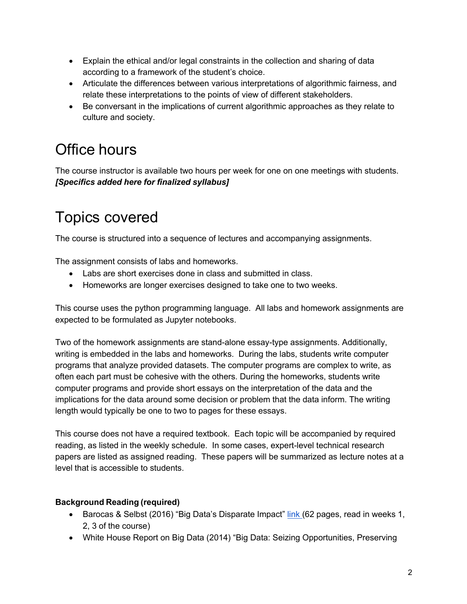- Explain the ethical and/or legal constraints in the collection and sharing of data according to a framework of the student's choice.
- Articulate the differences between various interpretations of algorithmic fairness, and relate these interpretations to the points of view of different stakeholders.
- Be conversant in the implications of current algorithmic approaches as they relate to culture and society.

# Office hours

The course instructor is available two hours per week for one on one meetings with students. *[Specifics added here for finalized syllabus]*

# Topics covered

The course is structured into a sequence of lectures and accompanying assignments.

The assignment consists of labs and homeworks.

- Labs are short exercises done in class and submitted in class.
- Homeworks are longer exercises designed to take one to two weeks.

This course uses the python programming language. All labs and homework assignments are expected to be formulated as Jupyter notebooks.

Two of the homework assignments are stand-alone essay-type assignments. Additionally, writing is embedded in the labs and homeworks. During the labs, students write computer programs that analyze provided datasets. The computer programs are complex to write, as often each part must be cohesive with the others. During the homeworks, students write computer programs and provide short essays on the interpretation of the data and the implications for the data around some decision or problem that the data inform. The writing length would typically be one to two to pages for these essays.

This course does not have a required textbook. Each topic will be accompanied by required reading, as listed in the weekly schedule. In some cases, expert-level technical research papers are listed as assigned reading. These papers will be summarized as lecture notes at a level that is accessible to students.

#### **Background Reading (required)**

- Barocas & Selbst (2016) "Big Data's Disparate Impact" link (62 pages, read in weeks 1, 2, 3 of the course)
- White House Report on Big Data (2014) "Big Data: Seizing Opportunities, Preserving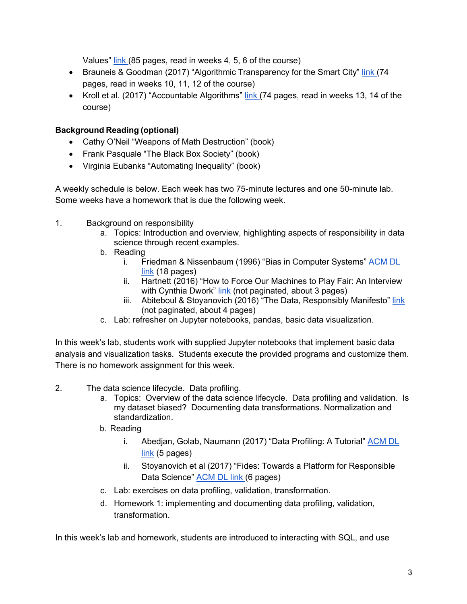Values" link (85 pages, read in weeks 4, 5, 6 of the course)

- Brauneis & Goodman (2017) "Algorithmic Transparency for the Smart City" link (74 pages, read in weeks 10, 11, 12 of the course)
- Kroll et al. (2017) "Accountable Algorithms" link (74 pages, read in weeks 13, 14 of the course)

#### **Background Reading (optional)**

- Cathy O'Neil "Weapons of Math Destruction" (book)
- Frank Pasquale "The Black Box Society" (book)
- Virginia Eubanks "Automating Inequality" (book)

A weekly schedule is below. Each week has two 75-minute lectures and one 50-minute lab. Some weeks have a homework that is due the following week.

- 1. Background on responsibility
	- a. Topics: Introduction and overview, highlighting aspects of responsibility in data science through recent examples.
	- b. Reading
		- i. Friedman & Nissenbaum (1996) "Bias in Computer Systems" ACM DL link (18 pages)
		- ii. Hartnett (2016) "How to Force Our Machines to Play Fair: An Interview with Cynthia Dwork" link (not paginated, about 3 pages)
		- iii. Abiteboul & Stoyanovich (2016) "The Data, Responsibly Manifesto" link (not paginated, about 4 pages)
	- c. Lab: refresher on Jupyter notebooks, pandas, basic data visualization.

In this week's lab, students work with supplied Jupyter notebooks that implement basic data analysis and visualization tasks. Students execute the provided programs and customize them. There is no homework assignment for this week.

- 2. The data science lifecycle. Data profiling.
	- a. Topics: Overview of the data science lifecycle. Data profiling and validation. Is my dataset biased? Documenting data transformations. Normalization and standardization.
	- b. Reading
		- i. Abedjan, Golab, Naumann (2017) "Data Profiling: A Tutorial" ACM DL link (5 pages)
		- ii. Stoyanovich et al (2017) "Fides: Towards a Platform for Responsible Data Science" **ACM DL link (6 pages)**
	- c. Lab: exercises on data profiling, validation, transformation.
	- d. Homework 1: implementing and documenting data profiling, validation, transformation.

In this week's lab and homework, students are introduced to interacting with SQL, and use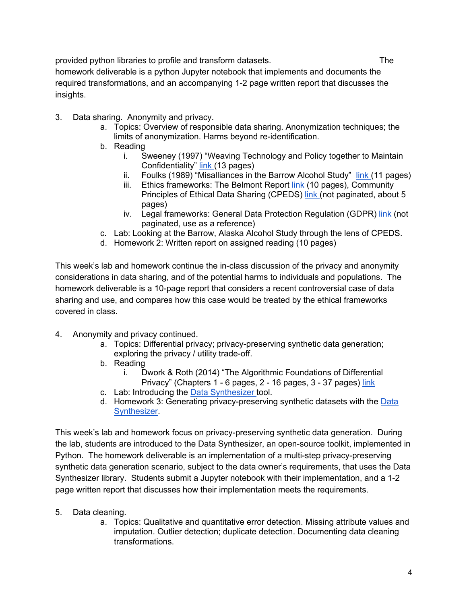provided python libraries to profile and transform datasets. The homework deliverable is a python Jupyter notebook that implements and documents the required transformations, and an accompanying 1-2 page written report that discusses the insights.

- 3. Data sharing. Anonymity and privacy.
	- a. Topics: Overview of responsible data sharing. Anonymization techniques; the limits of anonymization. Harms beyond re-identification.
	- b. Reading
		- i. Sweeney (1997) "Weaving Technology and Policy together to Maintain Confidentiality" link (13 pages)
		- ii. Foulks (1989) "Misalliances in the Barrow Alcohol Study" link (11 pages)
		- iii. Ethics frameworks: The Belmont Report link (10 pages), Community Principles of Ethical Data Sharing (CPEDS) link (not paginated, about 5 pages)
		- iv. Legal frameworks: General Data Protection Regulation (GDPR) link (not paginated, use as a reference)
	- c. Lab: Looking at the Barrow, Alaska Alcohol Study through the lens of CPEDS.
	- d. Homework 2: Written report on assigned reading (10 pages)

This week's lab and homework continue the in-class discussion of the privacy and anonymity considerations in data sharing, and of the potential harms to individuals and populations. The homework deliverable is a 10-page report that considers a recent controversial case of data sharing and use, and compares how this case would be treated by the ethical frameworks covered in class.

- 4. Anonymity and privacy continued.
	- a. Topics: Differential privacy; privacy-preserving synthetic data generation; exploring the privacy / utility trade-off.
	- b. Reading
		- i. Dwork & Roth (2014) "The Algorithmic Foundations of Differential Privacy" (Chapters 1 - 6 pages, 2 - 16 pages, 3 - 37 pages) link
	- c. Lab: Introducing the Data Synthesizer tool.
	- d. Homework 3: Generating privacy-preserving synthetic datasets with the Data **Synthesizer.**

This week's lab and homework focus on privacy-preserving synthetic data generation. During the lab, students are introduced to the Data Synthesizer, an open-source toolkit, implemented in Python. The homework deliverable is an implementation of a multi-step privacy-preserving synthetic data generation scenario, subject to the data owner's requirements, that uses the Data Synthesizer library. Students submit a Jupyter notebook with their implementation, and a 1-2 page written report that discusses how their implementation meets the requirements.

- 5. Data cleaning.
	- a. Topics: Qualitative and quantitative error detection. Missing attribute values and imputation. Outlier detection; duplicate detection. Documenting data cleaning transformations.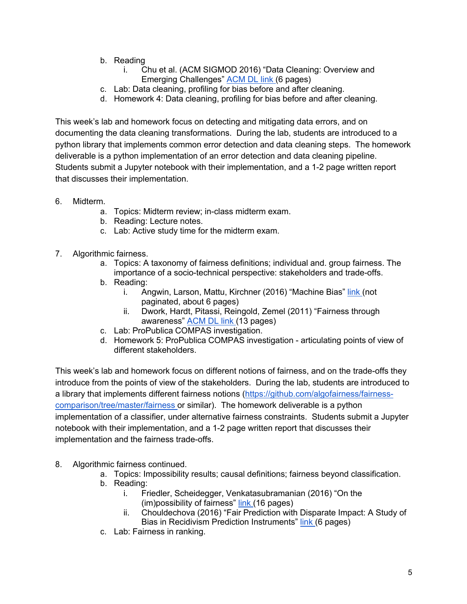- b. Reading
	- i. Chu et al. (ACM SIGMOD 2016) "Data Cleaning: Overview and Emerging Challenges" ACM DL link (6 pages)
- c. Lab: Data cleaning, profiling for bias before and after cleaning.
- d. Homework 4: Data cleaning, profiling for bias before and after cleaning.

This week's lab and homework focus on detecting and mitigating data errors, and on documenting the data cleaning transformations. During the lab, students are introduced to a python library that implements common error detection and data cleaning steps. The homework deliverable is a python implementation of an error detection and data cleaning pipeline. Students submit a Jupyter notebook with their implementation, and a 1-2 page written report that discusses their implementation.

- 6. Midterm.
	- a. Topics: Midterm review; in-class midterm exam.
	- b. Reading: Lecture notes.
	- c. Lab: Active study time for the midterm exam.
- 7. Algorithmic fairness.
	- a. Topics: A taxonomy of fairness definitions; individual and. group fairness. The importance of a socio-technical perspective: stakeholders and trade-offs.
	- b. Reading:
		- i. Angwin, Larson, Mattu, Kirchner (2016) "Machine Bias" link (not paginated, about 6 pages)
		- ii. Dwork, Hardt, Pitassi, Reingold, Zemel (2011) "Fairness through awareness" ACM DL link (13 pages)
	- c. Lab: ProPublica COMPAS investigation.
	- d. Homework 5: ProPublica COMPAS investigation articulating points of view of different stakeholders.

This week's lab and homework focus on different notions of fairness, and on the trade-offs they introduce from the points of view of the stakeholders. During the lab, students are introduced to a library that implements different fairness notions (https://github.com/algofairness/fairnesscomparison/tree/master/fairness or similar). The homework deliverable is a python implementation of a classifier, under alternative fairness constraints. Students submit a Jupyter notebook with their implementation, and a 1-2 page written report that discusses their implementation and the fairness trade-offs.

- 8. Algorithmic fairness continued.
	- a. Topics: Impossibility results; causal definitions; fairness beyond classification.
	- b. Reading:
		- i. Friedler, Scheidegger, Venkatasubramanian (2016) "On the (im)possibility of fairness" link (16 pages)
		- ii. Chouldechova (2016) "Fair Prediction with Disparate Impact: A Study of Bias in Recidivism Prediction Instruments" link (6 pages)
	- c. Lab: Fairness in ranking.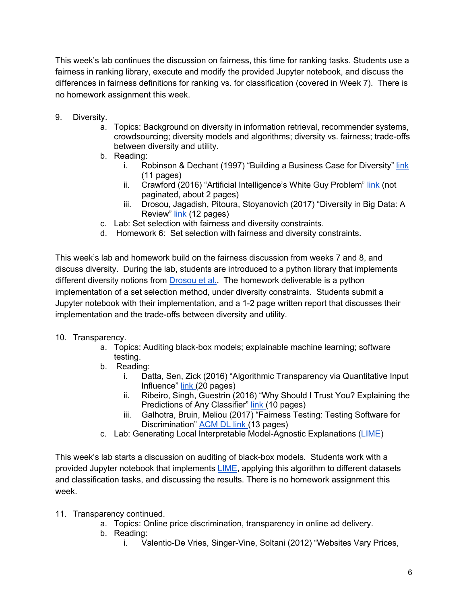This week's lab continues the discussion on fairness, this time for ranking tasks. Students use a fairness in ranking library, execute and modify the provided Jupyter notebook, and discuss the differences in fairness definitions for ranking vs. for classification (covered in Week 7). There is no homework assignment this week.

- 9. Diversity.
	- a. Topics: Background on diversity in information retrieval, recommender systems, crowdsourcing; diversity models and algorithms; diversity vs. fairness; trade-offs between diversity and utility.
	- b. Reading:
		- i. Robinson & Dechant (1997) "Building a Business Case for Diversity" link (11 pages)
		- ii. Crawford (2016) "Artificial Intelligence's White Guy Problem" link (not paginated, about 2 pages)
		- iii. Drosou, Jagadish, Pitoura, Stoyanovich (2017) "Diversity in Big Data: A Review" link (12 pages)
	- c. Lab: Set selection with fairness and diversity constraints.
	- d. Homework 6: Set selection with fairness and diversity constraints.

This week's lab and homework build on the fairness discussion from weeks 7 and 8, and discuss diversity. During the lab, students are introduced to a python library that implements different diversity notions from Drosou et al.. The homework deliverable is a python implementation of a set selection method, under diversity constraints. Students submit a Jupyter notebook with their implementation, and a 1-2 page written report that discusses their implementation and the trade-offs between diversity and utility.

#### 10. Transparency.

- a. Topics: Auditing black-box models; explainable machine learning; software testing.
- b. Reading:
	- i. Datta, Sen, Zick (2016) "Algorithmic Transparency via Quantitative Input Influence" link (20 pages)
	- ii. Ribeiro, Singh, Guestrin (2016) "Why Should I Trust You? Explaining the Predictions of Any Classifier" link (10 pages)
	- iii. Galhotra, Bruin, Meliou (2017) "Fairness Testing: Testing Software for Discrimination" ACM DL link (13 pages)
- c. Lab: Generating Local Interpretable Model-Agnostic Explanations (LIME)

This week's lab starts a discussion on auditing of black-box models. Students work with a provided Jupyter notebook that implements LIME, applying this algorithm to different datasets and classification tasks, and discussing the results. There is no homework assignment this week.

- 11. Transparency continued.
	- a. Topics: Online price discrimination, transparency in online ad delivery.
	- b. Reading:
		- i. Valentio-De Vries, Singer-Vine, Soltani (2012) "Websites Vary Prices,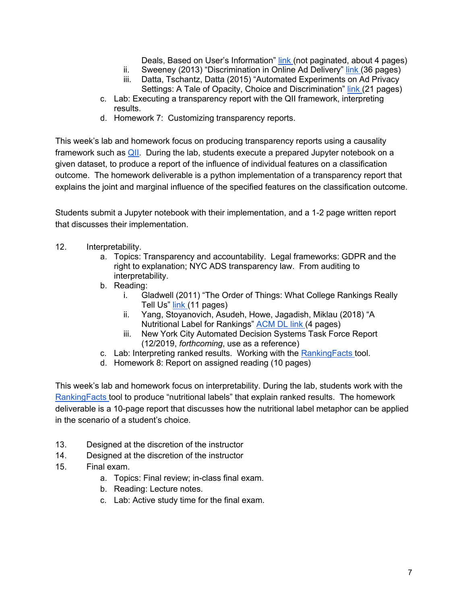Deals, Based on User's Information" link (not paginated, about 4 pages)

- ii. Sweeney (2013) "Discrimination in Online Ad Delivery" link (36 pages) iii. Datta, Tschantz, Datta (2015) "Automated Experiments on Ad Privacy Settings: A Tale of Opacity, Choice and Discrimination" link (21 pages)
- c. Lab: Executing a transparency report with the QII framework, interpreting results.
- d. Homework 7: Customizing transparency reports.

This week's lab and homework focus on producing transparency reports using a causality framework such as QII. During the lab, students execute a prepared Jupyter notebook on a given dataset, to produce a report of the influence of individual features on a classification outcome. The homework deliverable is a python implementation of a transparency report that explains the joint and marginal influence of the specified features on the classification outcome.

Students submit a Jupyter notebook with their implementation, and a 1-2 page written report that discusses their implementation.

- 12. Interpretability.
	- a. Topics: Transparency and accountability. Legal frameworks: GDPR and the right to explanation; NYC ADS transparency law. From auditing to interpretability.
	- b. Reading:
		- i. Gladwell (2011) "The Order of Things: What College Rankings Really Tell Us" link (11 pages)
		- ii. Yang, Stoyanovich, Asudeh, Howe, Jagadish, Miklau (2018) "A Nutritional Label for Rankings" ACM DL link (4 pages)
		- iii. New York City Automated Decision Systems Task Force Report (12/2019, *forthcoming*, use as a reference)
	- c. Lab: Interpreting ranked results. Working with the RankingFacts tool.
	- d. Homework 8: Report on assigned reading (10 pages)

This week's lab and homework focus on interpretability. During the lab, students work with the RankingFacts tool to produce "nutritional labels" that explain ranked results. The homework deliverable is a 10-page report that discusses how the nutritional label metaphor can be applied in the scenario of a student's choice.

- 13. Designed at the discretion of the instructor
- 14. Designed at the discretion of the instructor
- 15. Final exam.
	- a. Topics: Final review; in-class final exam.
	- b. Reading: Lecture notes.
	- c. Lab: Active study time for the final exam.